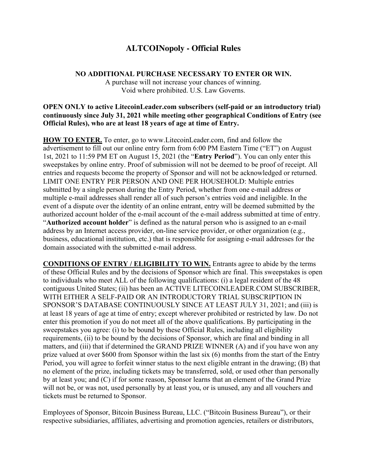## **ALTCOINopoly - Official Rules**

## **NO ADDITIONAL PURCHASE NECESSARY TO ENTER OR WIN.**

A purchase will not increase your chances of winning. Void where prohibited. U.S. Law Governs.

## **OPEN ONLY to active LitecoinLeader.com subscribers (self-paid or an introductory trial) continuously since July 31, 2021 while meeting other geographical Conditions of Entry (see Official Rules), who are at least 18 years of age at time of Entry.**

**HOW TO ENTER.** To enter, go to www.LitecoinLeader.com, find and follow the advertisement to fill out our online entry form from 6:00 PM Eastern Time ("ET") on August 1st, 2021 to 11:59 PM ET on August 15, 2021 (the "**Entry Period**"). You can only enter this sweepstakes by online entry. Proof of submission will not be deemed to be proof of receipt. All entries and requests become the property of Sponsor and will not be acknowledged or returned. LIMIT ONE ENTRY PER PERSON AND ONE PER HOUSEHOLD: Multiple entries submitted by a single person during the Entry Period, whether from one e-mail address or multiple e-mail addresses shall render all of such person's entries void and ineligible. In the event of a dispute over the identity of an online entrant, entry will be deemed submitted by the authorized account holder of the e-mail account of the e-mail address submitted at time of entry. "**Authorized account holder**" is defined as the natural person who is assigned to an e-mail address by an Internet access provider, on-line service provider, or other organization (e.g., business, educational institution, etc.) that is responsible for assigning e-mail addresses for the domain associated with the submitted e-mail address.

**CONDITIONS OF ENTRY / ELIGIBILITY TO WIN.** Entrants agree to abide by the terms of these Official Rules and by the decisions of Sponsor which are final. This sweepstakes is open to individuals who meet ALL of the following qualifications: (i) a legal resident of the 48 contiguous United States; (ii) has been an ACTIVE LITECOINLEADER.COM SUBSCRIBER, WITH EITHER A SELF-PAID OR AN INTRODUCTORY TRIAL SUBSCRIPTION IN SPONSOR'S DATABASE CONTINUOUSLY SINCE AT LEAST JULY 31, 2021; and (iii) is at least 18 years of age at time of entry; except wherever prohibited or restricted by law. Do not enter this promotion if you do not meet all of the above qualifications. By participating in the sweepstakes you agree: (i) to be bound by these Official Rules, including all eligibility requirements, (ii) to be bound by the decisions of Sponsor, which are final and binding in all matters, and (iii) that if determined the GRAND PRIZE WINNER (A) and if you have won any prize valued at over \$600 from Sponsor within the last six (6) months from the start of the Entry Period, you will agree to forfeit winner status to the next eligible entrant in the drawing; (B) that no element of the prize, including tickets may be transferred, sold, or used other than personally by at least you; and (C) if for some reason, Sponsor learns that an element of the Grand Prize will not be, or was not, used personally by at least you, or is unused, any and all vouchers and tickets must be returned to Sponsor.

Employees of Sponsor, Bitcoin Business Bureau, LLC. ("Bitcoin Business Bureau"), or their respective subsidiaries, affiliates, advertising and promotion agencies, retailers or distributors,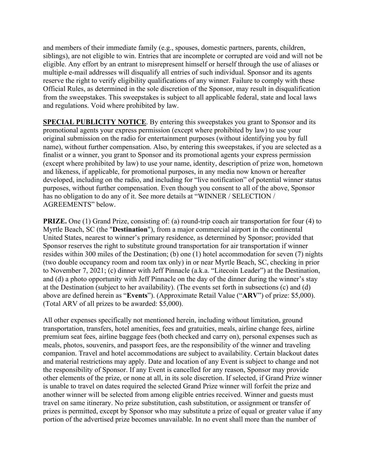and members of their immediate family (e.g., spouses, domestic partners, parents, children, siblings), are not eligible to win. Entries that are incomplete or corrupted are void and will not be eligible. Any effort by an entrant to misrepresent himself or herself through the use of aliases or multiple e-mail addresses will disqualify all entries of such individual. Sponsor and its agents reserve the right to verify eligibility qualifications of any winner. Failure to comply with these Official Rules, as determined in the sole discretion of the Sponsor, may result in disqualification from the sweepstakes. This sweepstakes is subject to all applicable federal, state and local laws and regulations. Void where prohibited by law.

**SPECIAL PUBLICITY NOTICE**. By entering this sweepstakes you grant to Sponsor and its promotional agents your express permission (except where prohibited by law) to use your original submission on the radio for entertainment purposes (without identifying you by full name), without further compensation. Also, by entering this sweepstakes, if you are selected as a finalist or a winner, you grant to Sponsor and its promotional agents your express permission (except where prohibited by law) to use your name, identity, description of prize won, hometown and likeness, if applicable, for promotional purposes, in any media now known or hereafter developed, including on the radio, and including for "live notification" of potential winner status purposes, without further compensation. Even though you consent to all of the above, Sponsor has no obligation to do any of it. See more details at "WINNER / SELECTION / AGREEMENTS" below.

**PRIZE.** One (1) Grand Prize, consisting of: (a) round-trip coach air transportation for four (4) to Myrtle Beach, SC (the "**Destination**"), from a major commercial airport in the continental United States, nearest to winner's primary residence, as determined by Sponsor; provided that Sponsor reserves the right to substitute ground transportation for air transportation if winner resides within 300 miles of the Destination; (b) one (1) hotel accommodation for seven (7) nights (two double occupancy room and room tax only) in or near Myrtle Beach, SC, checking in prior to November 7, 2021; (c) dinner with Jeff Pinnacle (a.k.a. "Litecoin Leader") at the Destination, and (d) a photo opportunity with Jeff Pinnacle on the day of the dinner during the winner's stay at the Destination (subject to her availability). (The events set forth in subsections (c) and (d) above are defined herein as "**Events**"). (Approximate Retail Value ("**ARV**") of prize: \$5,000). (Total ARV of all prizes to be awarded: \$5,000).

All other expenses specifically not mentioned herein, including without limitation, ground transportation, transfers, hotel amenities, fees and gratuities, meals, airline change fees, airline premium seat fees, airline baggage fees (both checked and carry on), personal expenses such as meals, photos, souvenirs, and passport fees, are the responsibility of the winner and traveling companion. Travel and hotel accommodations are subject to availability. Certain blackout dates and material restrictions may apply. Date and location of any Event is subject to change and not the responsibility of Sponsor. If any Event is cancelled for any reason, Sponsor may provide other elements of the prize, or none at all, in its sole discretion. If selected, if Grand Prize winner is unable to travel on dates required the selected Grand Prize winner will forfeit the prize and another winner will be selected from among eligible entries received. Winner and guests must travel on same itinerary. No prize substitution, cash substitution, or assignment or transfer of prizes is permitted, except by Sponsor who may substitute a prize of equal or greater value if any portion of the advertised prize becomes unavailable. In no event shall more than the number of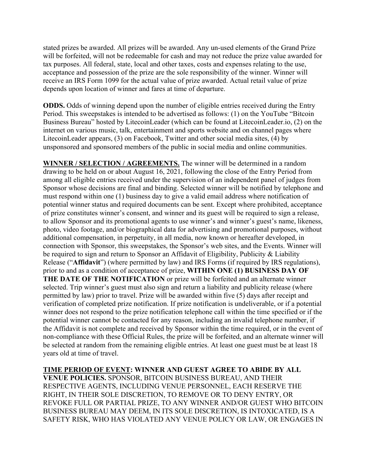stated prizes be awarded. All prizes will be awarded. Any un-used elements of the Grand Prize will be forfeited, will not be redeemable for cash and may not reduce the prize value awarded for tax purposes. All federal, state, local and other taxes, costs and expenses relating to the use, acceptance and possession of the prize are the sole responsibility of the winner. Winner will receive an IRS Form 1099 for the actual value of prize awarded. Actual retail value of prize depends upon location of winner and fares at time of departure.

**ODDS.** Odds of winning depend upon the number of eligible entries received during the Entry Period. This sweepstakes is intended to be advertised as follows: (1) on the YouTube "Bitcoin Business Bureau" hosted by LitecoinLeader (which can be found at LitecoinLeader.io, (2) on the internet on various music, talk, entertainment and sports website and on channel pages where LitecoinLeader appears, (3) on Facebook, Twitter and other social media sites, (4) by unsponsored and sponsored members of the public in social media and online communities.

**WINNER / SELECTION / AGREEMENTS.** The winner will be determined in a random drawing to be held on or about August 16, 2021, following the close of the Entry Period from among all eligible entries received under the supervision of an independent panel of judges from Sponsor whose decisions are final and binding. Selected winner will be notified by telephone and must respond within one (1) business day to give a valid email address where notification of potential winner status and required documents can be sent. Except where prohibited, acceptance of prize constitutes winner's consent, and winner and its guest will be required to sign a release, to allow Sponsor and its promotional agents to use winner's and winner's guest's name, likeness, photo, video footage, and/or biographical data for advertising and promotional purposes, without additional compensation, in perpetuity, in all media, now known or hereafter developed, in connection with Sponsor, this sweepstakes, the Sponsor's web sites, and the Events. Winner will be required to sign and return to Sponsor an Affidavit of Eligibility, Publicity & Liability Release ("**Affidavit**") (where permitted by law) and IRS Forms (if required by IRS regulations), prior to and as a condition of acceptance of prize, **WITHIN ONE (1) BUSINESS DAY OF THE DATE OF THE NOTIFICATION** or prize will be forfeited and an alternate winner selected. Trip winner's guest must also sign and return a liability and publicity release (where permitted by law) prior to travel. Prize will be awarded within five (5) days after receipt and verification of completed prize notification. If prize notification is undeliverable, or if a potential winner does not respond to the prize notification telephone call within the time specified or if the potential winner cannot be contacted for any reason, including an invalid telephone number, if the Affidavit is not complete and received by Sponsor within the time required, or in the event of non-compliance with these Official Rules, the prize will be forfeited, and an alternate winner will be selected at random from the remaining eligible entries. At least one guest must be at least 18 years old at time of travel.

**TIME PERIOD OF EVENT: WINNER AND GUEST AGREE TO ABIDE BY ALL VENUE POLICIES.** SPONSOR, BITCOIN BUSINESS BUREAU, AND THEIR RESPECTIVE AGENTS, INCLUDING VENUE PERSONNEL, EACH RESERVE THE RIGHT, IN THEIR SOLE DISCRETION, TO REMOVE OR TO DENY ENTRY, OR REVOKE FULL OR PARTIAL PRIZE, TO ANY WINNER AND/OR GUEST WHO BITCOIN BUSINESS BUREAU MAY DEEM, IN ITS SOLE DISCRETION, IS INTOXICATED, IS A SAFETY RISK, WHO HAS VIOLATED ANY VENUE POLICY OR LAW, OR ENGAGES IN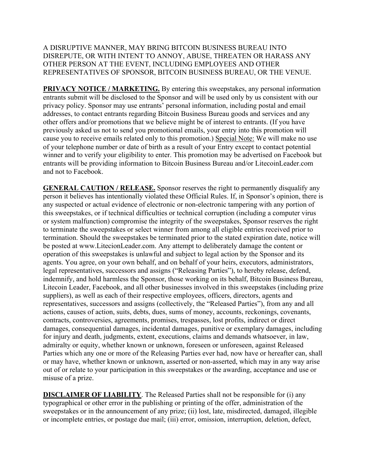## A DISRUPTIVE MANNER, MAY BRING BITCOIN BUSINESS BUREAU INTO DISREPUTE, OR WITH INTENT TO ANNOY, ABUSE, THREATEN OR HARASS ANY OTHER PERSON AT THE EVENT, INCLUDING EMPLOYEES AND OTHER REPRESENTATIVES OF SPONSOR, BITCOIN BUSINESS BUREAU, OR THE VENUE.

**PRIVACY NOTICE / MARKETING.** By entering this sweepstakes, any personal information entrants submit will be disclosed to the Sponsor and will be used only by us consistent with our privacy policy. Sponsor may use entrants' personal information, including postal and email addresses, to contact entrants regarding Bitcoin Business Bureau goods and services and any other offers and/or promotions that we believe might be of interest to entrants. (If you have previously asked us not to send you promotional emails, your entry into this promotion will cause you to receive emails related only to this promotion.) Special Note: We will make no use of your telephone number or date of birth as a result of your Entry except to contact potential winner and to verify your eligibility to enter. This promotion may be advertised on Facebook but entrants will be providing information to Bitcoin Business Bureau and/or LitecoinLeader.com and not to Facebook.

**GENERAL CAUTION / RELEASE.** Sponsor reserves the right to permanently disqualify any person it believes has intentionally violated these Official Rules. If, in Sponsor's opinion, there is any suspected or actual evidence of electronic or non-electronic tampering with any portion of this sweepstakes, or if technical difficulties or technical corruption (including a computer virus or system malfunction) compromise the integrity of the sweepstakes, Sponsor reserves the right to terminate the sweepstakes or select winner from among all eligible entries received prior to termination. Should the sweepstakes be terminated prior to the stated expiration date, notice will be posted at www.LitecionLeader.com. Any attempt to deliberately damage the content or operation of this sweepstakes is unlawful and subject to legal action by the Sponsor and its agents. You agree, on your own behalf, and on behalf of your heirs, executors, administrators, legal representatives, successors and assigns ("Releasing Parties"), to hereby release, defend, indemnify, and hold harmless the Sponsor, those working on its behalf, Bitcoin Business Bureau, Litecoin Leader, Facebook, and all other businesses involved in this sweepstakes (including prize suppliers), as well as each of their respective employees, officers, directors, agents and representatives, successors and assigns (collectively, the "Released Parties"), from any and all actions, causes of action, suits, debts, dues, sums of money, accounts, reckonings, covenants, contracts, controversies, agreements, promises, trespasses, lost profits, indirect or direct damages, consequential damages, incidental damages, punitive or exemplary damages, including for injury and death, judgments, extent, executions, claims and demands whatsoever, in law, admiralty or equity, whether known or unknown, foreseen or unforeseen, against Released Parties which any one or more of the Releasing Parties ever had, now have or hereafter can, shall or may have, whether known or unknown, asserted or non-asserted, which may in any way arise out of or relate to your participation in this sweepstakes or the awarding, acceptance and use or misuse of a prize.

**DISCLAIMER OF LIABILITY**. The Released Parties shall not be responsible for (i) any typographical or other error in the publishing or printing of the offer, administration of the sweepstakes or in the announcement of any prize; (ii) lost, late, misdirected, damaged, illegible or incomplete entries, or postage due mail; (iii) error, omission, interruption, deletion, defect,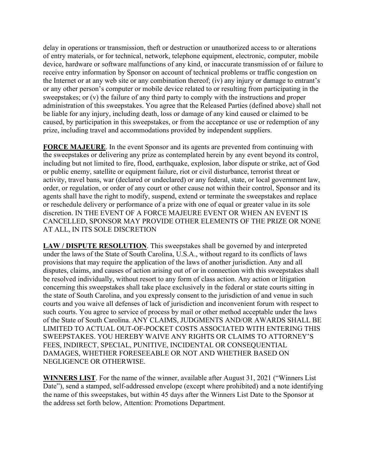delay in operations or transmission, theft or destruction or unauthorized access to or alterations of entry materials, or for technical, network, telephone equipment, electronic, computer, mobile device, hardware or software malfunctions of any kind, or inaccurate transmission of or failure to receive entry information by Sponsor on account of technical problems or traffic congestion on the Internet or at any web site or any combination thereof; (iv) any injury or damage to entrant's or any other person's computer or mobile device related to or resulting from participating in the sweepstakes; or (v) the failure of any third party to comply with the instructions and proper administration of this sweepstakes. You agree that the Released Parties (defined above) shall not be liable for any injury, including death, loss or damage of any kind caused or claimed to be caused, by participation in this sweepstakes, or from the acceptance or use or redemption of any prize, including travel and accommodations provided by independent suppliers.

**FORCE MAJEURE**. In the event Sponsor and its agents are prevented from continuing with the sweepstakes or delivering any prize as contemplated herein by any event beyond its control, including but not limited to fire, flood, earthquake, explosion, labor dispute or strike, act of God or public enemy, satellite or equipment failure, riot or civil disturbance, terrorist threat or activity, travel bans, war (declared or undeclared) or any federal, state, or local government law, order, or regulation, or order of any court or other cause not within their control, Sponsor and its agents shall have the right to modify, suspend, extend or terminate the sweepstakes and replace or reschedule delivery or performance of a prize with one of equal or greater value in its sole discretion. IN THE EVENT OF A FORCE MAJEURE EVENT OR WHEN AN EVENT IS CANCELLED, SPONSOR MAY PROVIDE OTHER ELEMENTS OF THE PRIZE OR NONE AT ALL, IN ITS SOLE DISCRETION

**LAW / DISPUTE RESOLUTION**. This sweepstakes shall be governed by and interpreted under the laws of the State of South Carolina, U.S.A., without regard to its conflicts of laws provisions that may require the application of the laws of another jurisdiction. Any and all disputes, claims, and causes of action arising out of or in connection with this sweepstakes shall be resolved individually, without resort to any form of class action. Any action or litigation concerning this sweepstakes shall take place exclusively in the federal or state courts sitting in the state of South Carolina, and you expressly consent to the jurisdiction of and venue in such courts and you waive all defenses of lack of jurisdiction and inconvenient forum with respect to such courts. You agree to service of process by mail or other method acceptable under the laws of the State of South Carolina. ANY CLAIMS, JUDGMENTS AND/OR AWARDS SHALL BE LIMITED TO ACTUAL OUT-OF-POCKET COSTS ASSOCIATED WITH ENTERING THIS SWEEPSTAKES. YOU HEREBY WAIVE ANY RIGHTS OR CLAIMS TO ATTORNEY'S FEES, INDIRECT, SPECIAL, PUNITIVE, INCIDENTAL OR CONSEQUENTIAL DAMAGES, WHETHER FORESEEABLE OR NOT AND WHETHER BASED ON NEGLIGENCE OR OTHERWISE.

**WINNERS LIST**. For the name of the winner, available after August 31, 2021 ("Winners List Date"), send a stamped, self-addressed envelope (except where prohibited) and a note identifying the name of this sweepstakes, but within 45 days after the Winners List Date to the Sponsor at the address set forth below, Attention: Promotions Department.